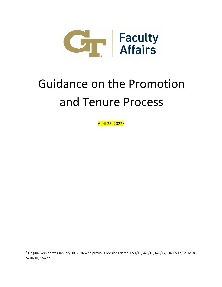

# Guidance on the Promotion and Tenure Process

April 25, 2022<sup>1</sup>

 $1$  Original version was January 30, 2016 with previous revisions dated 12/1/16, 4/6/16, 6/6/17, 10/17/17, 3/16/18, 5/18/18, 1/4/22.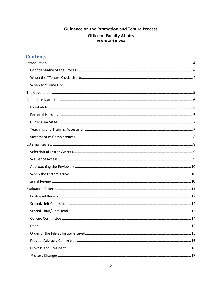## **Guidance on the Promotion and Tenure Process Office of Faculty Affairs** Updated April 25, 2022

# **Contents**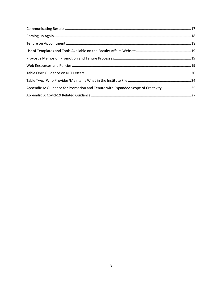| Appendix A: Guidance for Promotion and Tenure with Expanded Scope of Creativity25 |  |
|-----------------------------------------------------------------------------------|--|
|                                                                                   |  |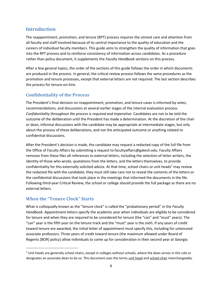## <span id="page-3-0"></span>**Introduction**

The reappointment, promotion, and tenure (RPT) process requires the utmost care and attention from all faculty and staff involved because of its central importance to the quality of education and the careers of individual faculty members. This guide aims to strengthen the quality of information that goes into the RPT process and to reinforce consistency of information across candidates. As a procedure rather than policy document, it supplements the *Faculty Handbook* sections on this process.

After a few general topics, the order of the sections of this guide follows the order in which documents are produced in the process. In general, the critical review process follows the same procedures as the promotion and tenure processes, except that external letters are not required. The last section describes the process for tenure-on-hire.

#### <span id="page-3-1"></span>**Confidentiality of the Process**

The President's final decision on reappointment, promotion, and tenure cases is informed by votes, recommendations, and discussions at several earlier stages of the internal evaluation process. *Confidentiality throughout the process is required and imperative.* Candidates are not to be told the outcome of the deliberation until the President has made a determination. At the discretion of the chair or dean, informal discussions with the candidate may be appropriate at intermediate stages, but only about the process of these deliberations, and not the anticipated outcome or anything related to confidential discussions.

After the President's decision is made, the candidate may request a redacted copy of the full file from the Office of Faculty Affairs by submitting a request to facultyaffairs@gatech.edu. Faculty Affairs removes from these files all references to external letters, including the selection of letter writers, the identity of those who wrote, quotations from the letters, and the letters themselves, to provide confidentiality for this externally solicited advice. At that time, school chairs or unit heads<sup>2</sup> may review the redacted file with the candidate; they must still take care not to reveal the contents of the letters or the confidential discussions that took place in the meetings that informed the documents in the file. Following third-year Critical Review, the school or college should provide the full package as there are no external letters.

#### <span id="page-3-2"></span>**When the "Tenure Clock" Starts**

What is colloquially known as the "tenure clock" is called the "probationary period" in the *Faculty Handbook*. Appointment letters specify the academic year when individuals are eligible to be considered for tenure and when they are required to be considered for tenure (the "can" and "must" years). The "can" year is the fifth year on the tenure track and the "must" year is the sixth. If any years of credit toward tenure are awarded, the initial letter of appointment must specify this, including for untenured associate professors. Three years of credit toward tenure (the maximum allowed under Board of Regents [BOR] policy) allow individuals to come up for consideration in their second year at Georgia

 $2$  Unit heads are generally school chairs, except in colleges without schools, where the dean serves in this role or designates an associate dean to do so. This document uses the terms unit head and school chair interchangeably.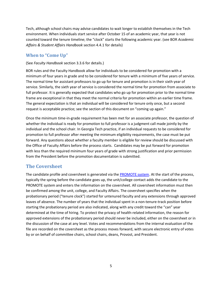Tech, although school chairs may advise candidates to wait longer to establish themselves in the Tech environment. When individuals start service after October 15 of an academic year, that year is not counted toward the tenure timeline; the "clock" starts the following academic year. (see BOR *Academic Affairs & Student Affairs Handbook* section 4.4.1 for details)

## <span id="page-4-0"></span>**When to "Come Up"**

#### (See *Faculty Handbook* section 3.3.6 for details.)

BOR rules and the Faculty Handbook allow for individuals to be considered for promotion with a minimum of four years in grade and to be considered for tenure with a minimum of five years of service. The normal time for assistant professors to go up for tenure and promotion is in their sixth year of service. Similarly, the sixth year of service is considered the normal time for promotion from associate to full professor. It is generally expected that candidates who go up for promotion prior to the normal time frame are exceptional in that they meet the normal criteria for promotion within an earlier time frame. The general expectation is that an individual will be considered for tenure only once, but a second request is acceptable practice; see the section of this document on "coming up again."

Once the minimum time-in-grade requirement has been met for an associate professor, the question of whether the individual is ready for promotion to full professor is a judgment call made jointly by the individual and the school chair. In Georgia Tech practice, if an individual requests to be considered for promotion to full professor after meeting the minimum eligibility requirements, the case must be put forward. Any questions about whether a faculty member is eligible for review should be discussed with the Office of Faculty Affairs before the process starts. Candidates may be put forward for promotion with less than the required minimum four years of grade with strong justification and prior permission from the President before the promotion documentation is submitted.

#### <span id="page-4-1"></span>**The Coversheet**

The candidate profile and coversheet is generated via th[e PROMOTE system.](https://docs.tag.gatech.edu/pages/viewpage.action?pageId=21332328) At the start of the process, typically the spring before the candidate goes up, the unit/college contact adds the candidate to the PROMOTE system and enters the information on the coversheet. All coversheet information must then be confirmed among the unit, college, and Faculty Affairs. The coversheet specifies when the probationary period ("tenure clock") started for untenured faculty and any extensions through approved leaves of absence. The number of years that the individual spent in a non-tenure-track position before starting the probationary period are also indicated, along with any credit toward the "can" year determined at the time of hiring. To protect the privacy of health-related information, the reason for approved extensions of the probationary period should never be included, either on the coversheet or in the discussion of the case at any level. Votes and recommendations from the internal evaluation of the file are recorded on the coversheet as the process moves forward, with secure electronic entry of votes by or on behalf of committee chairs, school chairs, deans, Provost, and President.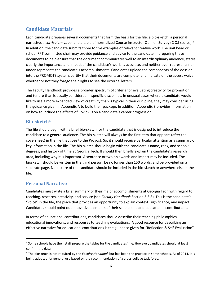# <span id="page-5-0"></span>**Candidate Materials**

Each candidate prepares several documents that form the basis for the file: a bio-sketch, a personal narrative, a *curriculum vitae*, and a table of normalized Course Instructor Opinion Survey (CIOS scores).<sup>3</sup> In addition, the candidate submits three to five examples of relevant creative work. The unit head or school RPT committee chair may provide guidance and advice to the candidate in preparing these documents to help ensure that the document communicates well to an interdisciplinary audience, states clearly the importance and impact of the candidate's work, is accurate, and neither over-represents nor under-represents the candidate's accomplishments. Candidates upload the components of the dossier into the PROMOTE system, certify that their documents are complete, and indicate on the access waiver whether or not they forego their rights to see the external letters.

The Faculty Handbook provides a broader spectrum of criteria for evaluating creativity for promotion and tenure than is usually considered in specific disciplines. In unusual cases where a candidate would like to use a more expanded view of creativity than is typical in their discipline, they may consider using the guidance given in Appendix A to build their package. In addition, Appendix B provides information on how to include the effects of Covid-19 on a candidate's career progression.

#### <span id="page-5-1"></span>**Bio-sketch<sup>4</sup>**

The file should begin with a brief bio-sketch for the candidate that is designed to introduce the candidate to a general audience. The bio-sketch will always be the first item that appears (after the coversheet) in the file that goes to the Provost. So, it should receive particular attention as a summary of key information in the file. The bio-sketch should begin with the candidate's name, rank, and school; degrees; and history of time at Georgia Tech. It should then briefly explain the candidate's research area, including why it is important. A sentence or two on awards and impact may be included. The biosketch should be written in the third person, be no longer than 150 words, and be provided on a separate page. No picture of the candidate should be included in the bio-sketch or anywhere else in the file.

#### <span id="page-5-2"></span>**Personal Narrative**

Candidates must write a brief summary of their major accomplishments at Georgia Tech with regard to teaching, research, creativity, and service (see *Faculty Handbook* Section 3.3.8). This is the candidate's "voice" in the file, the place that provides an opportunity to explain context, significance, and impact. Candidates should point out innovative elements of their scholarship and educational contributions.

In terms of educational contributions, candidates should describe their teaching philosophies, educational innovations, and responses to teaching evaluations. A good resource for describing an effective narrative for educational contributions is the guidance given for "Reflection & Self-Evaluation"

<sup>&</sup>lt;sup>3</sup> Some schools have their staff prepare the tables for the candidates' file. However, candidates should at least confirm the data.

<sup>4</sup> The biosketch is not required by the *Faculty Handbook* but has been the practice in some schools. As of 2014, it is being adopted for general use based on the recommendation of a cross-college task force.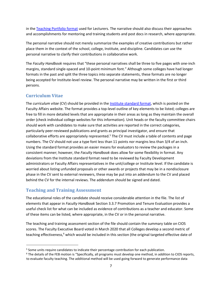in the [Teaching Portfolio format](https://faculty.gatech.edu/sites/default/files/images/teaching_portfolio_promotion_guidelines_7-5-2018.pdf) used for Lecturers. The narrative should also discuss their approaches and accomplishments for mentoring and training students and post docs in research, where appropriate.

The personal narrative should not merely summarize the examples of creative contributions but rather place them in the context of the school, college, Institute, and discipline. Candidates can use the personal narrative to clarify their contributions in collaborative work.

The *Faculty Handbook* requires that "these personal narratives shall be three to five pages with one-inch margins, standard single-spaced and 10-point minimum font." Although some colleges have had longer formats in the past and split the three topics into separate statements, these formats are no longer being accepted for Institute-level review. The personal narrative may be written in the first or third persons.

## <span id="page-6-0"></span>**Curriculum Vitae**

The *curriculum vitae* (CV) should be provided in the [Institute standard format,](http://faculty.gatech.edu/sites/default/files/documents/standard-cv-format-for-rpt-0215.docx) which is posted on the [Faculty Affairs website.](http://facultyaffairs.gatech.edu/current-faculty/promotion-tenure) The format provides a top-level outline of key elements to be listed; colleges are free to fill in more detailed levels that are appropriate in their areas as long as they maintain the overall order (check individual college websites for this information). Unit heads or the faculty committee chairs should work with candidates to make sure that activities are reported in the correct categories, particularly peer-reviewed publications and grants as principal investigator, and ensure that collaborative efforts are appropriately represented.<sup>5</sup> The CV must include a table of contents and page numbers. The CV should not use a type font less than 11 points nor margins less than 3/4 of an inch. Using the standard format provides an easier means for evaluators to review the packages in a consistent manner; however, the *Faculty Handbook* does allow for some flexibility in format. Any deviations from the Institute standard format need to be reviewed by Faculty Development administrators or Faculty Affairs representatives in the unit/college or Institute level. If the candidate is worried about listing unfunded proposals or other awards or projects that may be in a nondisclosure phase in the CV sent to external reviewers, these may be put into an addendum to the CV and placed behind the CV for the internal reviews. The addendum should be signed and dated.

## <span id="page-6-1"></span>**Teaching and Training Assessment**

The educational roles of the candidate should receive considerable attention in the file. The list of elements that appear in *Faculty Handbook* Section 3.3.7 Promotion and Tenure Evaluation provides a useful check list for what can be included as evidence of contributions as a teacher and educator. Some of these items can be listed, where appropriate, in the CV or in the personal narrative.

The teaching and training assessment section of the file should contain the summary table on CIOS scores. The Faculty Executive Board voted in March 2020 that all Colleges develop a second metric of teaching effectiveness,<sup>6</sup> which would be included in this section (the original targeted effective date of

<sup>&</sup>lt;sup>5</sup> Some units require candidates to indicate their percentage contribution for each publication.

<sup>&</sup>lt;sup>6</sup> The details of the FEB motion is "Specifically, all programs must develop one method, in addition to CIOS reports, to evaluate faculty teaching. The additional method will be used going forward to generate performance data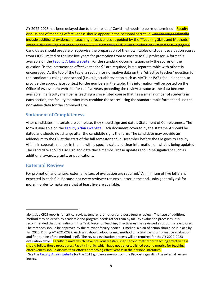AY 2022-2023 has been delayed due to the impact of Covid and needs to be re-determined). Faculty discussions of teaching effectiveness should appear in the personal narrative. **Faculty may optionally** include additional evidence of teaching effectiveness as guided by the "Teaching Skills and Methods" entry in the *Faculty Handbook* Section 3.3.7 Promotion and Tenure Evaluation (limited to two pages). Candidates should prepare or supervise the preparation of their own tables of student evaluation scores from CIOS, limited to the last five years for promotion from associate to full professor. A format is available on the **Faculty Affairs website**. For the standard documentation, only the scores on the question "Is the instructor an effective teacher?" are required, but a separate table with others is encouraged. At the top of the table, a section for normative data on the "effective teacher" question for the candidate's college and school (i.e., subject abbreviation such as MATH or ISYE) should appear, to provide the appropriate context for the numbers in the table. This information will be posted on the Office of Assessment web site for the five years preceding the review as soon as the data become available. If a faculty member is teaching a cross-listed course that has a small number of students in each section, the faculty member may combine the scores using the standard table format and use the normative data for the combined size.

#### <span id="page-7-0"></span>**Statement of Completeness**

After candidates' materials are complete, they should sign and date a Statement of Completeness. The form is available on the [Faculty Affairs website.](http://facultyaffairs.gatech.edu/faculty-affairs-reps/promotion-tenure) Each document covered by the statement should be dated and should not change after the candidate signs the form. The candidate may provide an addendum to the CV at the start of the fall semester and in December before the file goes to Faculty Affairs in separate memos in the file with a specific date and clear information on what is being updated. The candidate should also sign and date these memos. These updates should be significant such as additional awards, grants, or publications.

#### <span id="page-7-1"></span>**External Review**

For promotion and tenure, external letters of evaluation are required.<sup>7</sup> A minimum of five letters is expected in each file. Because not every reviewer returns a letter in the end, units generally ask for more in order to make sure that at least five are available.

alongside CIOS reports for critical review, tenure, promotion, and post-tenure review. The type of additional method may be driven by academic and program needs rather than by faculty evaluation processes. It is recommended that the findings in the Task Force for Teaching Effectiveness be reviewed as options are explored. The methods should be approved by the relevant faculty bodies. Timeline: a plan of action should be in place by Fall 2020. During AY 2021-2022, each unit should adopt its new method on a trial basis for formative evaluation and fine-tuning of the method itself. The revised evaluation process will be required for the AY 2022-2023 evaluation cycle." Faculty in units which have previously established second metrics for teaching effectiveness should follow those procedures. Faculty in units which have not yet established second metrics for teaching effectiveness should discuss their efforts at teaching effectiveness in the personal narrative.

<sup>&</sup>lt;sup>7</sup> See the **Faculty Affairs website** [fo](http://facultyaffairs.gatech.edu/deans-chairs/promotion-tenure)r the 2013 guidance memo from the Provost regarding the external review letters.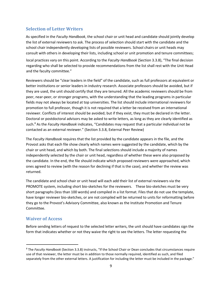## <span id="page-8-0"></span>**Selection of Letter Writers**

As specified in the *Faculty Handbook*, the school chair or unit head and candidate should jointly develop the list of external reviewers to ask. The process of selection should start with the candidate and the school chair independently developing lists of possible reviewers. School chairs or unit heads may consult with others in developing their lists, including school or unit promotion and tenure committees;

local practices vary on this point. According to the *Faculty Handbook* (Section 3.3.8), "The final decision regarding who shall be selected to provide recommendations from the list shall rest with the Unit Head and the faculty committee."

Reviewers should be "clear leaders in the field" of the candidate, such as full professors at equivalent or better institutions or senior leaders in industry research. Associate professors should be avoided, but if they are used, the unit should certify that they are tenured. All the academic reviewers should be from peer, near-peer, or stronger programs, with the understanding that the leading programs in particular fields may not always be located at top universities. The list should include international reviewers for promotion to full professor, though it is not required that a letter be received from an international reviewer. Conflicts of interest should be avoided; but if they exist, they must be declared in the letter. Doctoral or postdoctoral advisors may be asked to write letters, as long as they are clearly identified as such.<sup>8</sup> As the *Faculty Handbook* indicates, "Candidates may request that a particular individual not be contacted as an external reviewer." (Section 3.3.8, External Peer Review)

The *Faculty Handbook* requires that the list provided by the candidate appears in the file, and the Provost asks that each file show clearly which names were suggested by the candidate, which by the chair or unit head, and which by both. The final selections should include a majority of names independently selected by the chair or unit head, regardless of whether these were also proposed by the candidate. In the end, the file should indicate which proposed reviewers were approached, which ones agreed to review (with the reason for declining if that is the case), and whether the review was returned.

The candidate and school chair or unit head will each add their list of external reviewers via the PROMOTE system, including short bio-sketches for the reviewers. These bio-sketches must be very short paragraphs (less than 100 words) and compiled in a list format. Files that do not use the template, have longer reviewer bio-sketches, or are not compiled will be returned to units for reformatting before they go to the Provost's Advisory Committee, also known as the Institute Promotion and Tenure Committee.

#### <span id="page-8-1"></span>**Waiver of Access**

Before sending letters of request to the selected letter writers, the unit should have candidates sign the form that indicates whether or not they waive the right to see the letters. The letter requesting the

<sup>8</sup> The *Faculty Handbook* (Section 3.3.8) instructs, "If the School Chair or Dean concludes that circumstances require use of that reviewer, the letter must be in addition to those normally required, identified as such, and filed separately from the other external letters. A justification for including the letter must be included in the package."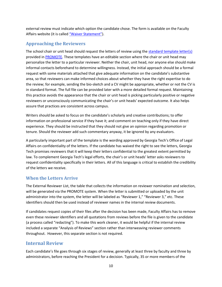external review must indicate which option the candidate chose. The form is available on the Faculty Affairs website (it is called ["Waiver Statement"](http://facultyaffairs.gatech.edu/sites/default/files/documents/waiver_of_right_of_access.pdf)[\).](http://facultyaffairs.gatech.edu/sites/default/files/documents/waiver_of_right_of_access.pdf)

#### <span id="page-9-0"></span>**Approaching the Reviewers**

The school chair or unit head should request the letters of review using the standard template letter( $s$ ) provided in [PROMOTE.](https://docs.tag.gatech.edu/display/PKB/Overview%3A+How+to+Manage+External+Reviewers+and+Evaluators) These templates have an editable section where the chair or unit head may personalize the letter to a particular reviewer. Neither the chair, unit head, nor anyone else should make informal contacts beforehand to determine willingness. Instead, the initial approach should be a formal request with some materials attached that give adequate information on the candidate's substantive area, so that reviewers can make informed choices about whether they have the right expertise to do the review; for example, sending the bio-sketch and a CV might be appropriate, whether or not the CV is in standard format. The full file can be provided later with a more detailed formal request. Maintaining this practice avoids the appearance that the chair or unit head is picking particularly positive or negative reviewers or unconsciously communicating the chair's or unit heads' expected outcome. It also helps assure that practices are consistent across campus.

Writers should be asked to focus on the candidate's scholarly and creative contributions; to offer information on professional service if they have it; and comment on teaching only if they have direct experience. They should be instructed that they should not give an opinion regarding promotion or tenure. Should the reviewer add such commentary anyway, it be ignored by any evaluators.

A particularly important part of the template is the wording approved by Georgia Tech's Office of Legal Affairs on confidentiality of the letters. If the candidate has waived the right to see the letters, Georgia Tech promises reviewers that it will keep their letters confidential to the greatest extent permitted by law. To complement Georgia Tech's legal efforts, the chair's or unit heads' letter asks reviewers to request confidentiality specifically in their letters. All of this language is critical to establish the credibility of the letters we receive.

#### <span id="page-9-1"></span>**When the Letters Arrive**

The External Reviewer List, the table that collects the information on reviewer nomination and selection, will be generated via the PROMOTE system. When the letter is submitted or uploaded by the unit administrator into the system, the letter will be labeled as "Reviewer 1," "Reviewer 3," etc. These identifiers should then be used instead of reviewer names in the internal review documents.

If candidates request copies of their files after the decision has been made, Faculty Affairs has to remove even these reviewer identifiers and all quotations from reviews before the file is given to the candidate (a process called "redacting"). To make this work cleaner, it would be helpful if the internal review included a separate "Analysis of Reviews" section rather than interweaving reviewer comments throughout. However, this separate section is not required.

## <span id="page-9-2"></span>**Internal Review**

Each candidate's file goes through six stages of review, generally at least three by faculty and three by administrators, before reaching the President for a decision. Typically, 35 or more members of the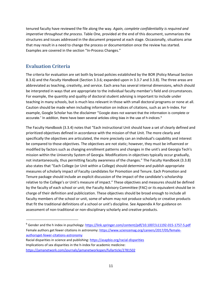tenured faculty have reviewed the file along the way. *Again, complete confidentiality is required and imperative throughout the process.* Table One, provided at the end of this document, summarizes the structures and issues addressed in the document prepared at each stage. Occasionally, situations arise that may result in a need to change the process or documentation once the review has started. Examples are covered in the section "In-Process Changes."

## <span id="page-10-0"></span>**Evaluation Criteria**

The criteria for evaluation are set both by broad policies established by the BOR (Policy Manual Section 8.3.6) and the *Faculty Handbook* (Section 3.3.6; expanded upon in 3.3.7 and 3.3.8). The three areas are abbreviated as teaching, creativity, and service. Each area has several internal dimensions, which should be interpreted in ways that are appropriate to the individual faculty member's field and circumstances. For example, the quantity and quality of doctoral student advising is important to include under teaching in many schools, but is much less relevant in those with small doctoral programs or none at all. Caution should be made when including information on indices of citations, such as an h-index. For example, Google Scholar has the disclaimer "Google does not warrant that the information is complete or accurate." In addition, there have been several articles citing bias in the use of h-indices.<sup>9</sup>

The Faculty Handbook (3.3.4) notes that "Each instructional Unit should have a set of clearly defined and prioritized objectives defined in accordance with the mission of that Unit. The more clearly and specifically the objectives are articulated, the more precisely can an individual's capability and interest be compared to those objectives. The objectives are not static; however, they must be influenced or modified by factors such as changing enrollment patterns and changes in the unit's and Georgia Tech's mission within the University System of Georgia. Modifications in objectives typically occur gradually, not instantaneously, thus permitting faculty awareness of the changes." The Faculty Handbook (3.3.8) also states that "Each College (or Unit within a College) should determine and publish appropriate measures of scholarly impact of Faculty candidates for Promotion and Tenure. Each Promotion and Tenure package should include an explicit discussion of the impact of the candidate's scholarship relative to the College's or Unit's measure of impact." These objectives and measures should be defined by the faculty of each school or unit; the Faculty Advisory Committee (FAC) or its equivalent should be in charge of their definition and publicization. These objectives should be broad enough to include all faculty members of the school or unit, some of whom may not produce scholarly or creative products that fit the traditional definitions of a school or unit's discipline. See Appendix A for guidance on assessment of non-traditional or non-disciplinary scholarly and creative products.

Racial disparities in science and publishin[g: https://asapbio.org/racial-disparities](https://asapbio.org/racial-disparities) Implications of sex disparities in the h-index for academic medicine: <https://jamanetwork.com/journals/jamanetworkopen/fullarticle/2781502>

<sup>9</sup> Gender and the h index in psychology:<https://link.springer.com/content/pdf/10.1007/s11192-015-1757-5.pdf> Female authors get fewer citations in astronomy: [https://www.sciencemag.org/careers/2017/05/female](https://www.sciencemag.org/careers/2017/05/female-authors-get-fewer-citations-astronomy)[authorsget-fewer-citations-astronomy](https://www.sciencemag.org/careers/2017/05/female-authors-get-fewer-citations-astronomy)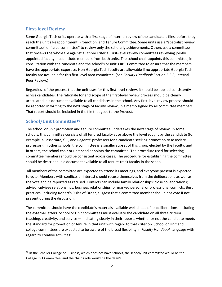#### <span id="page-11-0"></span>**First-level Review**

Some Georgia Tech units operate with a first stage of internal review of the candidate's files, before they reach the unit's Reappointment, Promotion, and Tenure Committee. Some units use a "specialist review committee" or "area committee" to review only the scholarly achievements. Others use a committee that reviews the whole file against all three criteria. First-level review committees reviewing jointly appointed faculty must include members from both units. The school chair appoints this committee, in consultation with the candidate and the school's or unit's RPT Committee to ensure that the members have the appropriate expertise. Non-Georgia Tech faculty are allowable if no appropriate Georgia Tech faculty are available for this first-level area committee. (See *Faculty Handbook* Section 3.3.8, Internal Peer Review.)

Regardless of the process that the unit uses for this first-level review, it should be applied consistently across candidates. The rationale for and scope of the first-level review process should be clearly articulated in a document available to all candidates in the school. Any first-level review process should be reported in writing to the next stage of faculty review, in a memo signed by all committee members. That report should be included in the file that goes to the Provost.

## <span id="page-11-1"></span>**School/Unit Committee<sup>10</sup>**

The school or unit promotion and tenure committee undertakes the next stage of review. In some schools, this committee consists of all tenured faculty at or above the level sought by the candidate (for example, all associate, full, and Regents' professors for a candidate seeking promotion to associate professor). In other schools, the committee is a smaller subset of this group elected by the faculty, and in others, the school chair or unit head appoints the committee. The procedure used for selecting committee members should be consistent across cases. The procedure for establishing the committee should be described in a document available to all tenure-track faculty in the school.

All members of the committee are expected to attend its meetings, and everyone present is expected to vote. Members with conflicts of interest should recuse themselves from the deliberations as well as the vote and be reported as recused. Conflicts can include family relationships; close collaborations; advisor-advisee relationships; business relationships; or marked personal or professional conflicts. Best practices, including Robert's Rules of Order, suggest that a committee member should not vote if not present during the discussion.

The committee should have the candidate's materials available well ahead of its deliberations, including the external letters. School or Unit committees must evaluate the candidate on all three criteria teaching, creativity, and service — indicating clearly in their reports whether or not the candidate meets the standard for promotion or tenure in that unit with regard to that criterion. School or Unit and college committees are expected to be aware of the broad flexibility in *Faculty Handbook* language with regard to creative activities:

<sup>&</sup>lt;sup>10</sup> In the Scheller College of Business, which does not have schools, the school/unit committee would be the College RPT Committee, and the chair's role would be the dean's.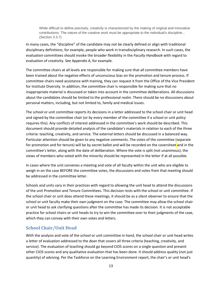While difficult to define precisely, creativity is characterized by the making of original and innovative contributions. The nature of the creative work must be appropriate to the individual's discipline... (Section 3.3.7)

In many cases, the "discipline" of the candidate may not be clearly defined or align with traditional disciplinary definitions, for example, people who work in transdisciplinary research. In such cases, the evaluation committees should invoke the broader flexibility in the *Faculty Handbook* with regard to evaluation of creativity. See Appendix A, for example.

The committee chairs at all levels are responsible for making sure that all committee members have been trained about the negative effects of unconscious bias on the promotion and tenure process. If committee chairs need assistance with training, they can request it from the Office of the Vice President for Institute Diversity. In addition, the committee chair is responsible for making sure that no inappropriate material is discussed or taken into account in the committee deliberations. All discussions about the candidates should be limited to the professional realm. There should be no discussions about personal matters, including, but not limited to, family and medical issues.

The school or unit committee reports its decisions in a letter addressed to the school chair or unit head and signed by the committee chair (or by every member of the committee if a school or unit policy requires this). Any conflicts of interest addressed in the committee's work should be described. This document should provide detailed analysis of the candidate's materials in relation to each of the three criteria: teaching, creativity, and service. The external letters should be discussed in a balanced way. Particular attention should be given to any negative comments. The votes of the committee (separate for promotion and for tenure) will be by secret ballot and will be recorded on the coversheet and in the committee's letter, along with the date of deliberation. Where the vote is split (not unanimous), the views of members who voted with the minority should be represented in the letter if at all possible.

In cases where the unit convenes a meeting and vote of all faculty within the unit who are eligible to weigh in on the case BEFORE the committee votes, the discussions and votes from that meeting should be addressed in the committee letter.

Schools and units vary in their practices with regard to allowing the unit head to attend the discussions of the unit Promotion and Tenure Committees. This decision rests with the school or unit committee. If the school chair or unit does attend these meetings, it should be as a silent observer to ensure that the school or unit faculty make their own judgment on the case. The committee may allow the school chair or unit head to ask clarifying questions after the committee has made its decision. It is not acceptable practice for school chairs or unit heads to try to win the committee over to their judgments of the case, which they can convey with their own votes and letters.

#### <span id="page-12-0"></span>**School Chair/Unit Head**

With the analysis and vote of the school or unit committee in hand, the school chair or unit head writes a letter of evaluation addressed to the dean that covers all three criteria (teaching, creativity, and service). The evaluation of teaching should go beyond CIOS scores on a single question and present other CIOS scores and any qualitative evaluation that has been done. It should address quality (not just quantity) of advising. Per the Taskforce on the Learning Environment report, the chair's or unit head's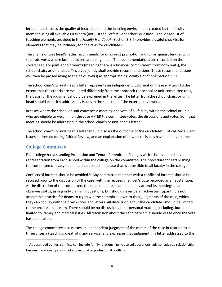letter should assess the quality of instruction and the learning environment created by the faculty member using all available CIOS data (not just the "effective teacher" question). The longer list of teaching elements provided in the *Faculty Handbook* (Section 3.3.7) provides a useful checklist for elements that may be included, for chairs as for candidates.

The chair's or unit head's letter recommends for or against promotion and for or against tenure, with separate votes where both decisions are being made. The recommendations are recorded on the coversheet. For joint appointments (meaning there is a financial commitment from both units), the school chairs or unit heads, "involved jointly shall provide recommendations. These recommendations will then be passed along to the next level(s) as appropriate." (*Faculty Handbook* Section 3.3.8)

The school chair's or unit head's letter represents an independent judgment on these matters. To the extent that the criteria are evaluated differently from the approach the school or unit committee took, the basis for the judgment should be explained in the letter. The letter from the school chairs or unit head should explicitly address any issues in the selection of the external reviewers.

In cases where the school or unit convenes a meeting and vote of all faculty within the school or unit who are eligible to weigh in on the case AFTER the committee votes, the discussions and votes from that meeting should be addressed in the school chair's or unit head's letter.

The school chair's or unit head's letter should discuss the outcome of the candidate's Critical Review and issues addressed during Critical Review, and an explanation of how those issues have been overcome.

## <span id="page-13-0"></span>**College Committee**

Each college has a standing Promotion and Tenure Committee. Colleges with schools should have representation from each school within the college on the committee. The procedure for establishing the committee can vary but should be posted in a place that is accessible to all faculty in the college.

Conflicts of interest should be avoided.<sup>11</sup> Any committee member with a conflict of interest should be recused prior to the discussion of the case, with the recused member's vote recorded as an abstention. At the discretion of the committee, the dean or an associate dean may attend its meetings in an observer status, asking only clarifying questions, but should never be an active participant. It is not acceptable practice for deans to try to win the committee over to their judgments of the case, which they can convey with their own votes and letters. All discussion about the candidates should be limited to the professional realm. There should be no discussion about personal matters, including, but not limited to, family and medical issues. All discussion about the candidate's file should cease once the vote has been taken.

The college committee also makes an independent judgment of the merits of the case in relation to all three criteria (teaching, creativity, and service) and expresses that judgment in a letter addressed to the

 $11$  As described earlier, conflicts can include family relationships; close collaborations; advisor-advisee relationship; business relationships; or marked personal or professional conflicts.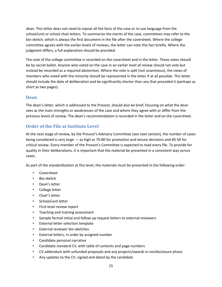dean. This letter does not need to repeat all the facts of the case or re-use language from the school/unit or school chair letters. To summarize the merits of the case, committees may refer to the bio-sketch, which is always the first document in the file after the coversheet. Where the college committee agrees with the earlier levels of reviews, the letter can note this fact briefly. Where the judgment differs, a full explanation should be provided.

The vote of the college committee is recorded on the coversheet and in the letter. These votes should be by secret ballot. Anyone who voted on the case in an earlier level of review should not vote but instead be recorded as a required abstention. Where the vote is split (not unanimous), the views of members who voted with the minority should be represented in the letter if at all possible. This letter should include the date of deliberation and be significantly shorter than any that preceded it (perhaps as short as two pages).

#### <span id="page-14-0"></span>**Dean**

The dean's letter, which is addressed to the Provost, should also be brief, focusing on what the dean sees as the main strengths or weaknesses of the case and where they agree with or differ from the previous levels of review. The dean's recommendation is recorded in the letter and on the coversheet.

## <span id="page-14-1"></span>**Order of the File at Institute Level**

At the next stage of review, by the Provost's Advisory Committee (see next section), the number of cases being considered is very large — as high as 70-80 for promotion and tenure decisions and 40-50 for critical review. Every member of the Provost's Committee is expected to read every file. To provide for quality in their deliberations, it is important that the material be presented in a consistent way across cases.

As part of the standardization at this level, the materials must be presented in the following order:

- Coversheet
- Bio-sketch
- Dean's letter
- College letter
- Chair's letter
- School/unit letter
- First-level review report
- Teaching and training assessment
- Sample formal initial and follow-up request letters to external reviewers
- External letter selection template
- External reviewer bio-sketches
- External letters, in order by assigned number
- Candidate personal narrative
- Candidate standard CV, with table of contents and page numbers
- CV addendum with unfunded proposals and any projects/awards in nondisclosure phase
- Any updates to the CV, signed and dated by the candidate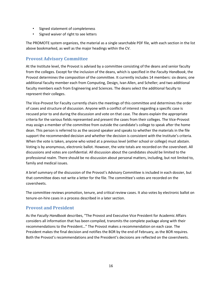- Signed statement of completeness
- Signed waiver of right to see letters

The PROMOTE system organizes, the material as a single searchable PDF file, with each section in the list above bookmarked, as well as the major headings within the CV.

#### <span id="page-15-0"></span>**Provost Advisory Committee**

At the Institute level, the Provost is advised by a committee consisting of the deans and senior faculty from the colleges. Except for the inclusion of the deans, which is specified in the *Faculty Handbook*, the Provost determines the composition of the committee. It currently includes 14 members: six deans; one additional faculty member each from Computing, Design, Ivan Allen, and Scheller; and two additional faculty members each from Engineering and Sciences. The deans select the additional faculty to represent their colleges.

The Vice-Provost for Faculty currently chairs the meetings of this committee and determines the order of cases and structure of discussion. Anyone with a conflict of interest regarding a specific case is recused prior to and during the discussion and vote on that case. The deans explain the appropriate criteria for the various fields represented and present the cases from their colleges. The Vice-Provost may assign a member of the committee from outside the candidate's college to speak after the home dean. This person is referred to as the second speaker and speaks to whether the materials in the file support the recommended decision and whether the decision is consistent with the Institute's criteria. When the vote is taken, anyone who voted at a previous level (either school or college) must abstain. Voting is by anonymous, electronic ballot. However, the vote totals are recorded on the coversheet. All discussions and votes are confidential. All discussion about the candidates should be limited to the professional realm. There should be no discussion about personal matters, including, but not limited to, family and medical issues.

A brief summary of the discussion of the Provost's Advisory Committee is included in each dossier, but that committee does not write a letter for the file. The committee's votes are recorded on the coversheets.

The committee reviews promotion, tenure, and critical review cases. It also votes by electronic ballot on tenure-on-hire cases in a process described in a later section.

#### <span id="page-15-1"></span>**Provost and President**

As the *Faculty Handbook* describes, "The Provost and Executive Vice President for Academic Affairs considers all information that has been compiled, transmits the complete package along with their recommendations to the President…" The Provost makes a recommendation on each case. The President makes the final decision and notifies the BOR by the end of February, as the BOR requires. Both the Provost's recommendations and the President's decisions are reflected on the coversheets.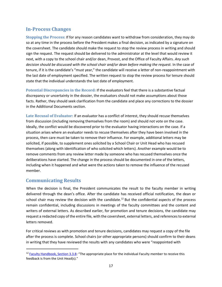# <span id="page-16-0"></span>**In-Process Changes**

**Stopping the Process:** If for any reason candidates want to withdraw from consideration, they may do so at any time in the process before the President makes a final decision, as indicated by a signature on the coversheet. The candidate should make the request to stop the review process in writing and should sign the request. The request should be delivered to the administrator at the level that would review it next, with a copy to the school chair and/or dean, Provost, and the Office of Faculty Affairs. *Any such decision should be discussed with the school chair and/or dean before making the request.* In the case of tenure, if it is the candidate's "must year," the candidate will receive a letter of non-reappointment with the last date of employment specified. The written request to stop the review process for tenure should state that the individual understands the last date of employment.

**Potential Discrepancies in the Record:** If the evaluators feel that there is a substantive factual discrepancy or uncertainty in the dossier, the evaluators should not make assumptions about those facts. Rather, they should seek clarification from the candidate and place any corrections to the dossier in the Additional Documents section.

**Late Recusal of Evaluator:** If an evaluator has a conflict of interest, they should recuse themselves from discussion (including removing themselves from the room) and should not vote on the case. Ideally, the conflict would be discovered prior to the evaluator having interactions on the case. If a situation arises where an evaluator needs to recuse themselves after they have been involved in the process, then care must be taken to remove their influence. For example, additional letters may be solicited, if possible, to supplement ones solicited by a School Chair or Unit Head who has recused themselves (along with identification of who solicited which letters). Another example would be to remove comments from any review letter made by someone who has recused themselves once the deliberations have started. The change in the process should be documented in one of the letters, including when it happened and what were the actions taken to remove the influence of the recused member.

#### <span id="page-16-1"></span>**Communicating Results**

When the decision is final, the President communicates the result to the faculty member in writing delivered through the dean's office. After the candidate has received official notification, the dean or school chair may review the decision with the candidate.<sup>12</sup> But the confidential aspects of the process remain confidential, including discussions in meetings of the faculty committees and the content and writers of external letters. As described earlier, for promotion and tenure decisions, the candidate may request a redacted copy of the entire file, with the coversheet, external letters, and references to external letters removed.

For critical reviews as with promotion and tenure decisions, candidates may request a copy of the file after the process is complete. School chairs (or other appropriate persons) should confirm to their deans in writing that they have reviewed the results with any candidates who were "reappointed with

<sup>&</sup>lt;sup>12</sup> [Faculty Handbook, Section 3.3.8:](http://policylibrary.gatech.edu/faculty-handbook/3.3.8-promotion-and-tenure-procedures) "The appropriate place for the individual Faculty member to receive this feedback is from the Unit Head(s)."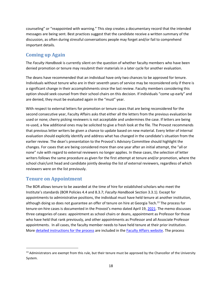counseling" or "reappointed with warning." This step creates a documentary record that the intended messages are being sent. Best practices suggest that the candidate receive a written summary of the discussion, as often during stressful conversations people may forget and/or fail to comprehend important details.

# <span id="page-17-0"></span>**Coming up Again**

The *Faculty Handbook* is currently silent on the question of whether faculty members who have been denied promotion or tenure may resubmit their materials in a later cycle for another evaluation.

The deans have recommended that an individual have only two chances to be approved for tenure. Individuals without tenure who are in their seventh years of service may be reconsidered only if there is a significant change in their accomplishments since the last review. Faculty members considering this option should seek counsel from their school chairs on this decision. If individuals "come up early" and are denied, they must be evaluated again in the "must" year.

With respect to external letters for promotion or tenure cases that are being reconsidered for the second consecutive year, Faculty Affairs asks that either all the letters from the previous evaluation be used or none; cherry picking reviewers is not acceptable and undermines the case. If letters are being re-used, a few additional ones may be solicited to give a fresh look at the file. The Provost recommends that previous letter writers be given a chance to update based on new material. Every letter of internal evaluation should explicitly identify and address what has changed in the candidate's situation from the earlier review. The dean's presentation to the Provost's Advisory Committee should highlight the changes. For cases that are being considered more than one year after an initial attempt, the "all or none" rule with regard to external reviewers no longer applies. In these cases, the selection of letter writers follows the same procedure as given for the first attempt at tenure and/or promotion, where the school chair/unit head and candidate jointly develop the list of external reviewers, regardless of which reviewers were on the list previously.

## <span id="page-17-1"></span>**Tenure on Appointment**

The BOR allows tenure to be awarded at the time of hire for established scholars who meet the Institute's standards (BOR Policies 4.4 and 8.3.7; *Faculty Handbook* Section 3.3.1). Except for appointments to administrative positions, the individual must have held tenure at another institution, although doing so does not guarantee an offer of tenure on hire at Georgia Tech.<sup>13</sup> The process for tenure-on-hire cases is documented in the [Provost's memo dated April 19,](https://faculty.gatech.edu/sites/default/files/images/swm_to_deanschairs_4.19.21.pdf) [2021.](https://faculty.gatech.edu/sites/default/files/images/swm_to_deanschairs_4.19.21.pdf) The memo discusses three categories of cases: appointment as school chairs or deans, appointment as Professor for those who have held that rank previously, and other appointments as Professor and all Associate Professor appointments. In all cases, the faculty member needs to have held tenure at their prior institution. More [detailed instructions for the process](https://faculty.gatech.edu/sites/default/files/images/guidance_on_the_tenure_on_appointment_process.pdf) [a](https://faculty.gatech.edu/sites/default/files/images/guidance_on_the_tenure_on_appointment_process.pdf)re included in th[e Faculty Affairs website.](https://faculty.gatech.edu/sites/default/files/images/guidance_on_the_tenure_on_appointment_process.pdf) The process

<sup>&</sup>lt;sup>13</sup> Administrators are exempt from this rule, but their tenure must be approved by the Chancellor of the University System.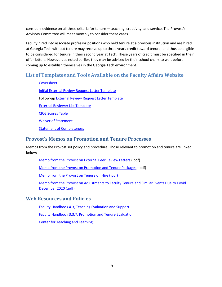considers evidence on all three criteria for tenure —teaching, creativity, and service. The Provost's Advisory Committee will meet monthly to consider these cases.

Faculty hired into associate professor positions who held tenure at a previous institution and are hired at Georgia Tech without tenure may receive up to three years credit toward tenure, and thus be eligible to be considered for tenure in their second year at Tech. These years of credit must be specified in their offer letters. However, as noted earlier, they may be advised by their school chairs to wait before coming up to establish themselves in the Georgia Tech environment.

# <span id="page-18-0"></span>**List of Templates and Tools Available on the Faculty Affairs Website**

[Coversheet](http://faculty.gatech.edu/sites/default/files/documents/promotiontenurecover_010215.pdf) [Initial External Review Request Letter Template](http://www.faculty.gatech.edu/sites/default/files/images/template_initial_external_review_request_letter_5-17-2017.docx) Follow-up [External Review Request Letter Template](http://faculty.gatech.edu/sites/default/files/documents/template_external_review_request_letter_9-4-2015.docx) [External Reviewer List Template](http://faculty.gatech.edu/sites/default/files/documents/external-reference-list_0.xlsx) [CIOS Scores Table](http://faculty.gatech.edu/sites/default/files/documents/rpt_cios_template_cross-listed.xlsx) [Waiver of Statement](http://faculty.gatech.edu/sites/default/files/documents/waiver_of_right_of_access.pdf) [Statement of Completeness](http://faculty.gatech.edu/sites/default/files/documents/statement_of_completeness.docx)

## <span id="page-18-1"></span>**Provost's Memos on Promotion and Tenure Processes**

Memos from the Provost set policy and procedure. Those relevant to promotion and tenure are linked below:

[Memo from the Provost on External Peer Review Letters](https://faculty.gatech.edu/sites/default/files/documents/bras_memo_extprrevwlttrs_9-3-2015.pdf) (.pdf)

[Memo from the Provost on Promotion and Tenure Packages](https://faculty.gatech.edu/sites/default/files/documents/bras_memo_ptpackagerules_9-3-2015.pdf) (.pdf)

[Memo from the Provost on Tenure on Hire \(.pdf\)](https://faculty.gatech.edu/sites/default/files/images/swm_to_deanschairs_4.19.21.pdf)

[Memo from the Provost on Adjustments to Faculty Tenure and Similar Events Due to Covid](https://faculty.gatech.edu/sites/default/files/images/swm_to_faculty_12.07.20.pdf) [December 2020 \(.pdf\)](https://faculty.gatech.edu/sites/default/files/images/swm_to_faculty_12.07.20.pdf)

#### <span id="page-18-2"></span>**Web Resources and Policies**

[Faculty Handbook 4.3, Teaching Evaluation and Support](http://policylibrary.gatech.edu/faculty-handbook/3.3.7-promotion-and-tenure-evaluation)

[Faculty Handbook 3.3.7, Promotion and Tenure Evaluation](http://policylibrary.gatech.edu/faculty-handbook/3.3.7-promotion-and-tenure-evaluation)

[Center for Teaching and Learning](http://ctl.gatech.edu/)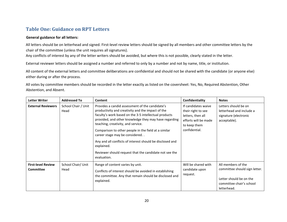## **Table One: Guidance on RPT Letters**

#### **General guidance for all letters:**

All letters should be on letterhead and signed. First-level review letters should be signed by all members and other committee letters by the chair of the committee (unless the unit requires all signatures).

Any conflicts of interest by any of the letter writers should be avoided, but where this is not possible, clearly stated in the letter.

External reviewer letters should be assigned a number and referred to only by a number and not by name, title, or institution.

All content of the external letters and committee deliberations are confidential and should not be shared with the candidate (or anyone else) either during or after the process.

All votes by committee members should be recorded in the letter exactly as listed on the coversheet: Yes, No, Required Abstention, Other Abstention, and Absent.

<span id="page-19-0"></span>

| <b>Letter Writer</b>                          | <b>Addressed To</b>                                                                                                                                                                               | Content                                                                                                                                                                                                                                                      | Confidentiality                                                                                                                                                                                     | <b>Notes</b>                                                                                                              |  |
|-----------------------------------------------|---------------------------------------------------------------------------------------------------------------------------------------------------------------------------------------------------|--------------------------------------------------------------------------------------------------------------------------------------------------------------------------------------------------------------------------------------------------------------|-----------------------------------------------------------------------------------------------------------------------------------------------------------------------------------------------------|---------------------------------------------------------------------------------------------------------------------------|--|
| <b>External Reviewers</b>                     | School Chair / Unit<br>Head                                                                                                                                                                       | Provides a candid assessment of the candidate's<br>productivity and creativity and the impact of the<br>faculty's work based on the 3-5 intellectual products<br>provided, and other knowledge they may have regarding<br>teaching, creativity, and service. | If candidates waive<br>Letters should be on<br>their right to see<br>letterhead and include a<br>letters, then all<br>signature (electronic<br>efforts will be made<br>acceptable).<br>to keep them |                                                                                                                           |  |
|                                               |                                                                                                                                                                                                   | Comparison to other people in the field at a similar<br>career stage may be considered                                                                                                                                                                       | confidential.                                                                                                                                                                                       |                                                                                                                           |  |
|                                               |                                                                                                                                                                                                   | Any and all conflicts of interest should be disclosed and<br>explained.                                                                                                                                                                                      |                                                                                                                                                                                                     |                                                                                                                           |  |
|                                               |                                                                                                                                                                                                   | Reviewer should request that the candidate not see the<br>evaluation.                                                                                                                                                                                        |                                                                                                                                                                                                     |                                                                                                                           |  |
| <b>First-level Review</b><br><b>Committee</b> | School Chair/ Unit<br>Range of content varies by unit.<br>Head<br>Conflicts of interest should be avoided in establishing<br>the committee. Any that remain should be disclosed and<br>explained. |                                                                                                                                                                                                                                                              | Will be shared with<br>candidate upon<br>request.                                                                                                                                                   | All members of the<br>committee should sign letter.<br>Letter should be on the<br>committee chair's school<br>letterhead. |  |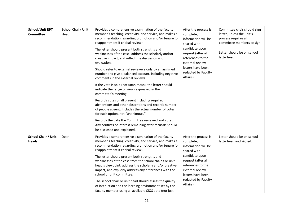| <b>School/Unit RPT</b><br><b>Committee</b> | School Chair/ Unit<br>Head | Provides a comprehensive examination of the faculty<br>member's teaching, creativity, and service, and makes a<br>recommendation regarding promotion and/or tenure (or<br>reappointment if critical review).                                                                                                           | After the process is<br>complete,<br>information will be<br>shared with                                         | Committee chair should sign<br>letter, unless the unit's<br>process requires all<br>committee members to sign. |  |
|--------------------------------------------|----------------------------|------------------------------------------------------------------------------------------------------------------------------------------------------------------------------------------------------------------------------------------------------------------------------------------------------------------------|-----------------------------------------------------------------------------------------------------------------|----------------------------------------------------------------------------------------------------------------|--|
|                                            |                            | The letter should present both strengths and<br>weaknesses of the case, address the scholarly and/or<br>creative impact, and reflect the discussion and<br>evaluation.                                                                                                                                                 | candidate upon<br>request (after all<br>references to the<br>external review                                    | Letter should be on school<br>letterhead.                                                                      |  |
|                                            |                            | Should refer to external reviewers only by an assigned<br>number and give a balanced account, including negative<br>comments in the external reviews.                                                                                                                                                                  | letters have been<br>redacted by Faculty<br>Affairs).                                                           |                                                                                                                |  |
|                                            |                            | If the vote is split (not unanimous), the letter should<br>indicate the range of views expressed in the<br>committee's meeting.                                                                                                                                                                                        |                                                                                                                 |                                                                                                                |  |
|                                            |                            | Records votes of all present including required<br>abstentions and other abstentions and records number<br>of people absent. Includes the actual number of votes<br>for each option, not "unanimous."                                                                                                                  |                                                                                                                 |                                                                                                                |  |
|                                            |                            | Records the date the Committee reviewed and voted.<br>Any conflicts of interest remaining after recusals should<br>be disclosed and explained.                                                                                                                                                                         |                                                                                                                 |                                                                                                                |  |
| <b>School Chair / Unit</b><br><b>Heads</b> | Dean                       | Provides a comprehensive examination of the faculty<br>member's teaching, creativity, and service, and makes a<br>recommendation regarding promotion and/or tenure (or<br>reappointment if critical review).<br>The letter should present both strengths and<br>weaknesses of the case from the school chair's or unit | After the process is<br>complete,<br>information will be<br>shared with<br>candidate upon<br>request (after all | Letter should be on school<br>letterhead and signed.                                                           |  |
|                                            |                            | head's viewpoint, address the scholarly and/or creative<br>impact, and explicitly address any differences with the<br>school or unit committee.<br>The school chair or unit head should assess the quality<br>of instruction and the learning environment set by the                                                   | references to the<br>external review<br>letters have been<br>redacted by Faculty<br>Affairs).                   |                                                                                                                |  |
|                                            |                            | faculty member using all available CIOS data (not just                                                                                                                                                                                                                                                                 |                                                                                                                 |                                                                                                                |  |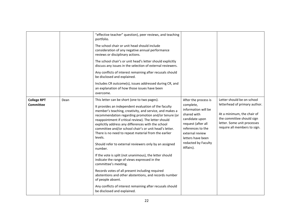|                                        |      | "effective teacher" question), peer reviews, and teaching<br>portfolio.<br>The school chair or unit head should include<br>consideration of any negative annual performance<br>reviews or disciplinary actions.<br>The school chair's or unit head's letter should explicitly<br>discuss any issues in the selection of external reviewers.<br>Any conflicts of interest remaining after recusals should<br>be disclosed and explained.<br>Includes CR outcome(s), issues addressed during CR, and<br>an explanation of how those issues have been<br>overcome.                                                                                                                                                                                                                                                                                                                                         |                                                                                                                                                                                                                  |                                                                                                                                                                                       |
|----------------------------------------|------|---------------------------------------------------------------------------------------------------------------------------------------------------------------------------------------------------------------------------------------------------------------------------------------------------------------------------------------------------------------------------------------------------------------------------------------------------------------------------------------------------------------------------------------------------------------------------------------------------------------------------------------------------------------------------------------------------------------------------------------------------------------------------------------------------------------------------------------------------------------------------------------------------------|------------------------------------------------------------------------------------------------------------------------------------------------------------------------------------------------------------------|---------------------------------------------------------------------------------------------------------------------------------------------------------------------------------------|
| <b>College RPT</b><br><b>Committee</b> | Dean | This letter can be short (one to two pages).<br>It provides an independent evaluation of the faculty<br>member's teaching, creativity, and service, and makes a<br>recommendation regarding promotion and/or tenure (or<br>reappointment if critical review). The letter should<br>explicitly address any differences with the school<br>committee and/or school chair's or unit head's letter.<br>There is no need to repeat material from the earlier<br>levels.<br>Should refer to external reviewers only by an assigned<br>number.<br>If the vote is split (not unanimous), the letter should<br>indicate the range of views expressed in the<br>committee's meeting.<br>Records votes of all present including required<br>abstentions and other abstentions, and records number<br>of people absent.<br>Any conflicts of interest remaining after recusals should<br>be disclosed and explained. | After the process is<br>complete,<br>information will be<br>shared with<br>candidate upon<br>request (after all<br>references to the<br>external review<br>letters have been<br>redacted by Faculty<br>Affairs). | Letter should be on school<br>letterhead of primary author.<br>At a minimum, the chair of<br>the committee should sign<br>letter. Some unit processes<br>require all members to sign. |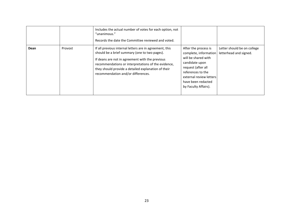|      |         | Includes the actual number of votes for each option, not<br>"unanimous."<br>Records the date the Committee reviewed and voted.                                                                                                                                                                                  |                                                                                                                                                                                                            |                                                       |
|------|---------|-----------------------------------------------------------------------------------------------------------------------------------------------------------------------------------------------------------------------------------------------------------------------------------------------------------------|------------------------------------------------------------------------------------------------------------------------------------------------------------------------------------------------------------|-------------------------------------------------------|
| Dean | Provost | If all previous internal letters are in agreement, this<br>should be a brief summary (one to two pages).<br>If deans are not in agreement with the previous<br>recommendations or interpretations of the evidence,<br>they should provide a detailed explanation of their<br>recommendation and/or differences. | After the process is<br>complete, information<br>will be shared with<br>candidate upon<br>request (after all<br>references to the<br>external review letters<br>have been redacted<br>by Faculty Affairs). | Letter should be on college<br>letterhead and signed. |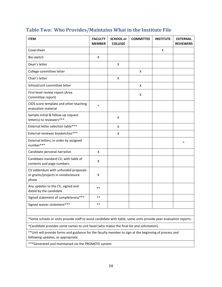| <b>ITEM</b>                                                                         | <b>FACULTY</b><br><b>MEMBER</b> | <b>SCHOOL or</b><br><b>COLLEGE</b> | <b>COMMITTEE</b> | <b>INSTITUTE</b> | <b>EXTERNAL</b><br><b>REVIEWERS</b> |
|-------------------------------------------------------------------------------------|---------------------------------|------------------------------------|------------------|------------------|-------------------------------------|
| Coversheet                                                                          |                                 |                                    |                  | X                |                                     |
| Bio-sketch                                                                          | $\pmb{\mathsf{X}}$              |                                    |                  |                  |                                     |
| Dean's letter                                                                       |                                 | $\mathsf{x}$                       |                  |                  |                                     |
| College committee letter                                                            |                                 |                                    | x                |                  |                                     |
| Chair's letter                                                                      |                                 | $\mathsf{x}$                       |                  |                  |                                     |
| School/unit committee letter                                                        |                                 |                                    | X                |                  |                                     |
| First-level review report (Area<br>Committee report)                                |                                 |                                    | х                |                  |                                     |
| CIOS score template and other teaching<br>evaluation material                       | $\ast$                          |                                    |                  |                  |                                     |
| Sample initial & follow-up request<br>letter(s) to reviewers***                     |                                 | X                                  |                  |                  |                                     |
| External letter selection table***                                                  |                                 | X                                  |                  |                  |                                     |
| External reviewer biosketches***                                                    |                                 | X                                  |                  |                  |                                     |
| External letters, in order by assigned<br>number***                                 |                                 |                                    |                  |                  | Λ                                   |
| Candidate personal narrative                                                        | $\pmb{\mathsf{X}}$              |                                    |                  |                  |                                     |
| Candidate standard CV, with table of<br>contents and page numbers                   | X                               |                                    |                  |                  |                                     |
| CV addendum with unfunded proposals<br>or grants/projects in nondisclosure<br>phase | X                               |                                    |                  |                  |                                     |
| Any updates to the CV, signed and<br>dated by the candidate                         | $***$                           |                                    |                  |                  |                                     |
| Signed statement of completeness***                                                 | $**$                            |                                    |                  |                  |                                     |
| Signed waiver statement***                                                          | $***$                           |                                    |                  |                  |                                     |

#### <span id="page-23-0"></span>**Table Two: Who Provides/Maintains What in the Institute File**

\*Some schools or units provide staff to assist candidate with table; some units provide peer evaluation reports.

^Candidate provides some names to unit head (who makes the final list and solicitation).

\*\*Unit will provide forms and guidance for the faculty member to sign at the beginning of process and following updates, as appropriate.

\*\*\*Generated and maintained via the PROMOTE system.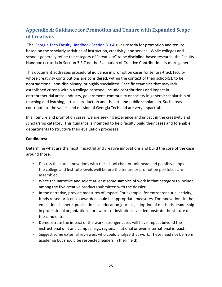# <span id="page-24-0"></span>**Appendix A: Guidance for Promotion and Tenure with Expanded Scope of Creativity**

The [Georgia Tech Faculty Handbook Section 3.3.4](https://policylibrary.gatech.edu/faculty-handbook/3.3.4-tenure-and-promotion-overview) [g](https://policylibrary.gatech.edu/faculty-handbook/3.3.4-tenure-and-promotion-overview)ives criteria for promotion and tenure based on the scholarly activities of instruction, creativity, and service. While colleges and schools generally refine the category of "creativity" to be discipline-based research, the Faculty Handbook criteria in Section 3.3.7 on the Evaluation of Creative Contributions is more general.

This document addresses procedural guidance in promotion cases for tenure-track faculty whose creativity contributions are considered, within the context of their school(s), to be nontraditional, non-disciplinary, or highly specialized. Specific examples that may lack established criteria within a college or school include contributions and impact in entrepreneurial areas; industry, government, community or society in general; scholarship of teaching and learning; artistic production and the art; and public scholarship. Such areas contribute to the values and mission of Georgia Tech and are very impactful.

In all tenure and promotion cases, we are seeking excellence and impact in the creativity and scholarship category. This guidance is intended to help faculty build their cases and to enable departments to structure their evaluation processes.

#### **Candidates:**

Determine what are the most impactful and creative innovations and build the core of the case around those.

- Discuss the core innovations with the school chair or unit head and possibly people at the college and Institute levels well before the tenure or promotion portfolios are assembled.
- Write the narrative and select at least some samples of work in that category to include among the five creative products submitted with the dossier.
- In the narrative, provide measures of impact. For example, for entrepreneurial activity, funds raised or licenses awarded could be appropriate measures. For innovations in the educational sphere, publications in education journals, adoption of methods, leadership in professional organizations, or awards or invitations can demonstrate the stature of the candidate.
- Demonstrate the impact of the work; stronger cases will have impact beyond the instructional unit and campus; e.g., regional, national or even international impact.
- Suggest some external reviewers who could analyze that work. These need not be from academia but should be respected leaders in their field).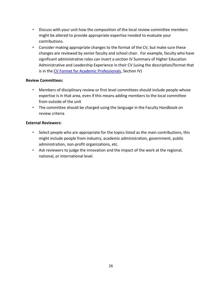- Discuss with your unit how the composition of the local review committee members might be altered to provide appropriate expertise needed to evaluate your contributions.
- Consider making appropriate changes to the format of the CV, but make sure these changes are reviewed by senior faculty and school chair. For example, faculty who have significant administrative roles can insert a section IV Summary of Higher Education Administrative and Leadership Experience in their CV (using the description/format that is in the [CV Format for Academic Professionals,](https://faculty.gatech.edu/current-faculty/promotion-tenure) Section IV)

#### **Review Committees:**

- Members of disciplinary review or first level committees should include people whose expertise is in that area, even if this means adding members to the local committee from outside of the unit
- The committee should be charged using the language in the Faculty Handbook on review criteria

#### **External Reviewers:**

- Select people who are appropriate for the topics listed as the main contributions, this might include people from industry, academic administration, government, public administration, non-profit organizations, etc.
- <span id="page-25-0"></span>• Ask reviewers to judge the innovation and the impact of the work at the regional, national, or international level.